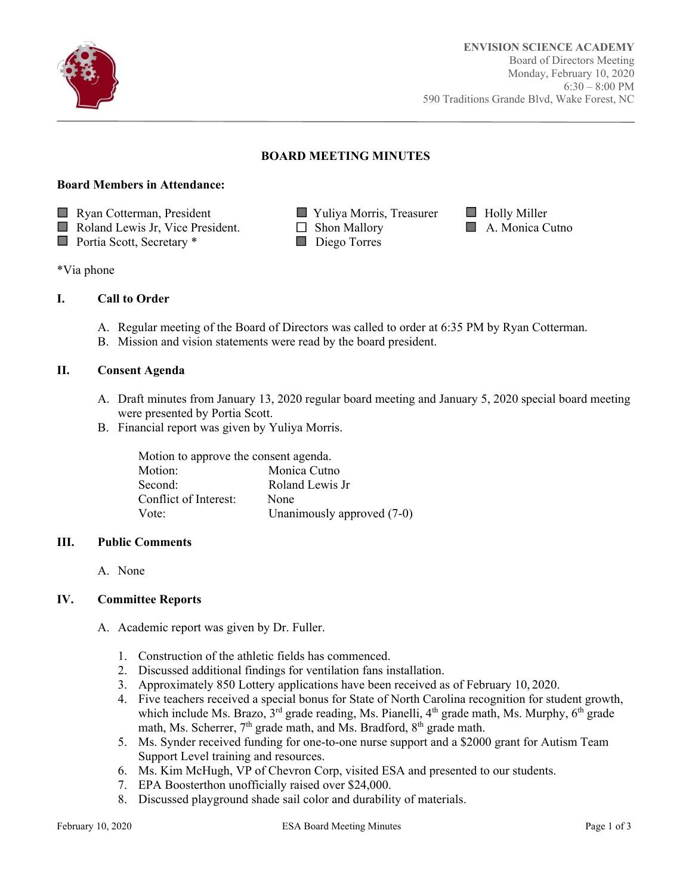

Ī

## **BOARD MEETING MINUTES**

#### **Board Members in Attendance:**



- $\Box$  Roland Lewis Jr, Vice President.  $\Box$  Shon Mallory  $\Box$  A. Monica Cutno
- Portia Scott, Secretary \* Diego Torres
- 
- -
- 

\*Via phone

## **I. Call to Order**

- A. Regular meeting of the Board of Directors was called to order at 6:35 PM by Ryan Cotterman.
- B. Mission and vision statements were read by the board president.

#### **II. Consent Agenda**

- A. Draft minutes from January 13, 2020 regular board meeting and January 5, 2020 special board meeting were presented by Portia Scott.
- B. Financial report was given by Yuliya Morris.

|                       | Motion to approve the consent agenda. |  |
|-----------------------|---------------------------------------|--|
| Motion:               | Monica Cutno                          |  |
| Second:               | Roland Lewis Jr                       |  |
| Conflict of Interest: | None                                  |  |
| Vote:                 | Unanimously approved $(7-0)$          |  |

#### **III. Public Comments**

A. None

#### **IV. Committee Reports**

- A. Academic report was given by Dr. Fuller.
	- 1. Construction of the athletic fields has commenced.
	- 2. Discussed additional findings for ventilation fans installation.
	- 3. Approximately 850 Lottery applications have been received as of February 10, 2020.
	- 4. Five teachers received a special bonus for State of North Carolina recognition for student growth, which include Ms. Brazo,  $3^{rd}$  grade reading, Ms. Pianelli,  $4^{th}$  grade math, Ms. Murphy,  $6^{th}$  grade math, Ms. Scherrer,  $7<sup>th</sup>$  grade math, and Ms. Bradford,  $8<sup>th</sup>$  grade math.
	- 5. Ms. Synder received funding for one-to-one nurse support and a \$2000 grant for Autism Team Support Level training and resources.
	- 6. Ms. Kim McHugh, VP of Chevron Corp, visited ESA and presented to our students.
	- 7. EPA Boosterthon unofficially raised over \$24,000.
	- 8. Discussed playground shade sail color and durability of materials.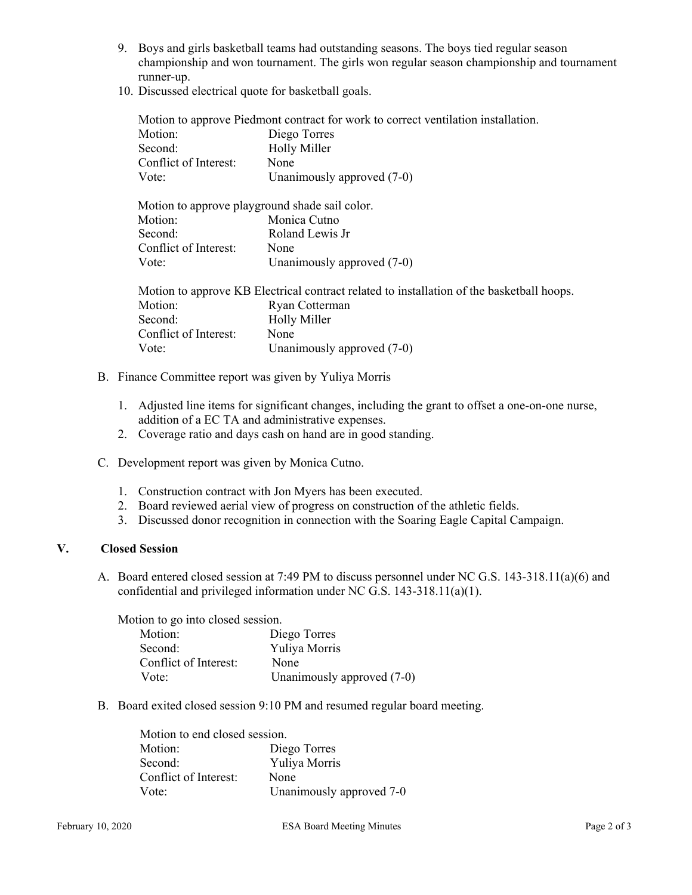- 9. Boys and girls basketball teams had outstanding seasons. The boys tied regular season championship and won tournament. The girls won regular season championship and tournament runner-up.
- 10. Discussed electrical quote for basketball goals.

| Motion to approve Piedmont contract for work to correct ventilation installation.         |                            |
|-------------------------------------------------------------------------------------------|----------------------------|
| Motion:                                                                                   | Diego Torres               |
| Second:                                                                                   | <b>Holly Miller</b>        |
| Conflict of Interest:                                                                     | None                       |
| Vote:                                                                                     | Unanimously approved (7-0) |
| Motion to approve playground shade sail color.                                            |                            |
| Motion:                                                                                   | Monica Cutno               |
| Second:                                                                                   | Roland Lewis Jr            |
| Conflict of Interest:                                                                     | None                       |
| Vote:                                                                                     | Unanimously approved (7-0) |
| Motion to approve KB Electrical contract related to installation of the basketball hoops. |                            |
| Motion:                                                                                   | Ryan Cotterman             |
| Second:                                                                                   | <b>Holly Miller</b>        |
| Conflict of Interest:                                                                     | None                       |
| Vote:                                                                                     | Unanimously approved (7-0) |
|                                                                                           |                            |

- B. Finance Committee report was given by Yuliya Morris
	- 1. Adjusted line items for significant changes, including the grant to offset a one-on-one nurse, addition of a EC TA and administrative expenses.
	- 2. Coverage ratio and days cash on hand are in good standing.
- C. Development report was given by Monica Cutno.
	- 1. Construction contract with Jon Myers has been executed.
	- 2. Board reviewed aerial view of progress on construction of the athletic fields.
	- 3. Discussed donor recognition in connection with the Soaring Eagle Capital Campaign.

### **V. Closed Session**

A. Board entered closed session at 7:49 PM to discuss personnel under NC G.S. 143-318.11(a)(6) and confidential and privileged information under NC G.S. 143-318.11(a)(1).

Motion to go into closed session. Motion: Diego Torres Second: Yuliya Morris Conflict of Interest: None Vote: Unanimously approved  $(7-0)$ 

B. Board exited closed session 9:10 PM and resumed regular board meeting.

| Motion to end closed session. |                          |
|-------------------------------|--------------------------|
| Motion:                       | Diego Torres             |
| Second:                       | Yuliya Morris            |
| Conflict of Interest:         | None                     |
| Vote <sup>-</sup>             | Unanimously approved 7-0 |
|                               |                          |